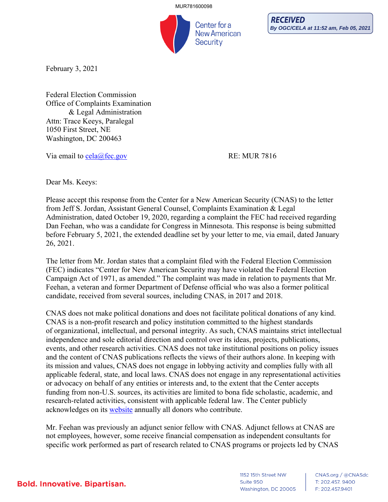MUR781600098



**RECEIVED By OGC/CELA at 11:52 am, Feb 05, 2021**

February 3, 2021

Federal Election Commission Office of Complaints Examination & Legal Administration Attn: Trace Keeys, Paralegal 1050 First Street, NE Washington, DC 200463

Via email to  $\text{cela}(\widehat{a})$  fec.gov RE: MUR 7816

Dear Ms. Keeys:

Please accept this response from the Center for a New American Security (CNAS) to the letter from Jeff S. Jordan, Assistant General Counsel, Complaints Examination & Legal Administration, dated October 19, 2020, regarding a complaint the FEC had received regarding Dan Feehan, who was a candidate for Congress in Minnesota. This response is being submitted before February 5, 2021, the extended deadline set by your letter to me, via email, dated January 26, 2021.

The letter from Mr. Jordan states that a complaint filed with the Federal Election Commission (FEC) indicates "Center for New American Security may have violated the Federal Election Campaign Act of 1971, as amended." The complaint was made in relation to payments that Mr. Feehan, a veteran and former Department of Defense official who was also a former political candidate, received from several sources, including CNAS, in 2017 and 2018.

CNAS does not make political donations and does not facilitate political donations of any kind. CNAS is a non-profit research and policy institution committed to the highest standards of organizational, intellectual, and personal integrity. As such, CNAS maintains strict intellectual independence and sole editorial direction and control over its ideas, projects, publications, events, and other research activities. CNAS does not take institutional positions on policy issues and the content of CNAS publications reflects the views of their authors alone. In keeping with its mission and values, CNAS does not engage in lobbying activity and complies fully with all applicable federal, state, and local laws. CNAS does not engage in any representational activities or advocacy on behalf of any entities or interests and, to the extent that the Center accepts funding from non-U.S. sources, its activities are limited to bona fide scholastic, academic, and research-related activities, consistent with applicable federal law. The Center publicly acknowledges on its website annually all donors who contribute.

Mr. Feehan was previously an adjunct senior fellow with CNAS. Adjunct fellows at CNAS are not employees, however, some receive financial compensation as independent consultants for specific work performed as part of research related to CNAS programs or projects led by CNAS